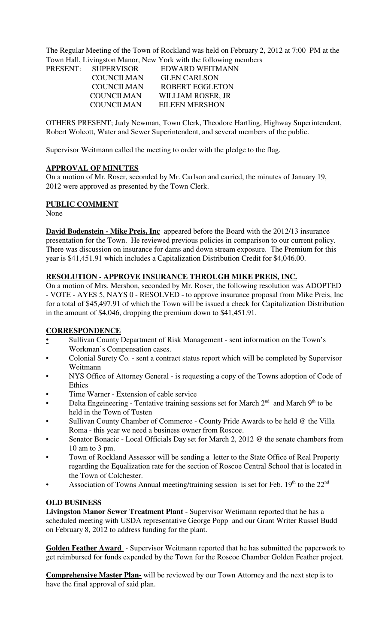The Regular Meeting of the Town of Rockland was held on February 2, 2012 at 7:00 PM at the Town Hall, Livingston Manor, New York with the following members

|                     | To will finite, Environmental contracts with the following intentious |
|---------------------|-----------------------------------------------------------------------|
| PRESENT: SUPERVISOR | EDWARD WEITMANN                                                       |
| <b>COUNCILMAN</b>   | <b>GLEN CARLSON</b>                                                   |
| <b>COUNCILMAN</b>   | <b>ROBERT EGGLETON</b>                                                |
| <b>COUNCILMAN</b>   | WILLIAM ROSER, JR                                                     |
| <b>COUNCILMAN</b>   | <b>EILEEN MERSHON</b>                                                 |

OTHERS PRESENT; Judy Newman, Town Clerk, Theodore Hartling, Highway Superintendent, Robert Wolcott, Water and Sewer Superintendent, and several members of the public.

Supervisor Weitmann called the meeting to order with the pledge to the flag.

#### **APPROVAL OF MINUTES**

On a motion of Mr. Roser, seconded by Mr. Carlson and carried, the minutes of January 19, 2012 were approved as presented by the Town Clerk.

#### **PUBLIC COMMENT**

None

**David Bodenstein - Mike Preis, Inc** appeared before the Board with the 2012/13 insurance presentation for the Town. He reviewed previous policies in comparison to our current policy. There was discussion on insurance for dams and down stream exposure. The Premium for this year is \$41,451.91 which includes a Capitalization Distribution Credit for \$4,046.00.

#### **RESOLUTION - APPROVE INSURANCE THROUGH MIKE PREIS, INC.**

On a motion of Mrs. Mershon, seconded by Mr. Roser, the following resolution was ADOPTED - VOTE - AYES 5, NAYS 0 - RESOLVED - to approve insurance proposal from Mike Preis, Inc for a total of \$45,497.91 of which the Town will be issued a check for Capitalization Distribution in the amount of \$4,046, dropping the premium down to \$41,451.91.

#### **CORRESPONDENCE**

- **•** Sullivan County Department of Risk Management sent information on the Town's Workman's Compensation cases.
- Colonial Surety Co. sent a contract status report which will be completed by Supervisor Weitmann
- NYS Office of Attorney General is requesting a copy of the Towns adoption of Code of Ethics
- Time Warner Extension of cable service
- Delta Engeineering Tentative training sessions set for March  $2<sup>nd</sup>$  and March  $9<sup>th</sup>$  to be held in the Town of Tusten
- Sullivan County Chamber of Commerce County Pride Awards to be held @ the Villa Roma - this year we need a business owner from Roscoe.
- Senator Bonacic Local Officials Day set for March 2, 2012 @ the senate chambers from 10 am to 3 pm.
- Town of Rockland Assessor will be sending a letter to the State Office of Real Property regarding the Equalization rate for the section of Roscoe Central School that is located in the Town of Colchester.
- Association of Towns Annual meeting/training session is set for Feb.  $19<sup>th</sup>$  to the  $22<sup>nd</sup>$

#### **OLD BUSINESS**

**Livingston Manor Sewer Treatment Plant** - Supervisor Wetimann reported that he has a scheduled meeting with USDA representative George Popp and our Grant Writer Russel Budd on February 8, 2012 to address funding for the plant.

**Golden Feather Award** - Supervisor Weitmann reported that he has submitted the paperwork to get reimbursed for funds expended by the Town for the Roscoe Chamber Golden Feather project.

**Comprehensive Master Plan-** will be reviewed by our Town Attorney and the next step is to have the final approval of said plan.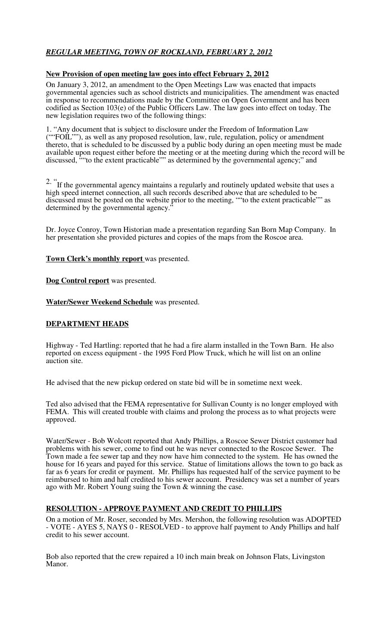# *REGULAR MEETING, TOWN OF ROCKLAND, FEBRUARY 2, 2012*

#### **New Provision of open meeting law goes into effect February 2, 2012**

On January 3, 2012, an amendment to the Open Meetings Law was enacted that impacts governmental agencies such as school districts and municipalities. The amendment was enacted in response to recommendations made by the Committee on Open Government and has been codified as Section 103(e) of the Public Officers Law. The law goes into effect on today. The new legislation requires two of the following things:

1. "Any document that is subject to disclosure under the Freedom of Information Law (""FOIL""), as well as any proposed resolution, law, rule, regulation, policy or amendment thereto, that is scheduled to be discussed by a public body during an open meeting must be made available upon request either before the meeting or at the meeting during which the record will be discussed, ""to the extent practicable"" as determined by the governmental agency;" and

<sup>2.</sup> "If the governmental agency maintains a regularly and routinely updated website that uses a high speed internet connection, all such records described above that are scheduled to be discussed must be posted on the website prior to the meeting, ""to the extent practicable"" as determined by the governmental agency."

Dr. Joyce Conroy, Town Historian made a presentation regarding San Born Map Company. In her presentation she provided pictures and copies of the maps from the Roscoe area.

#### **Town Clerk's monthly report** was presented.

**Dog Control report** was presented.

**Water/Sewer Weekend Schedule** was presented.

#### **DEPARTMENT HEADS**

Highway - Ted Hartling: reported that he had a fire alarm installed in the Town Barn. He also reported on excess equipment - the 1995 Ford Plow Truck, which he will list on an online auction site.

He advised that the new pickup ordered on state bid will be in sometime next week.

Ted also advised that the FEMA representative for Sullivan County is no longer employed with FEMA. This will created trouble with claims and prolong the process as to what projects were approved.

Water/Sewer - Bob Wolcott reported that Andy Phillips, a Roscoe Sewer District customer had problems with his sewer, come to find out he was never connected to the Roscoe Sewer. The Town made a fee sewer tap and they now have him connected to the system. He has owned the house for 16 years and payed for this service. Statue of limitations allows the town to go back as far as 6 years for credit or payment. Mr. Phillips has requested half of the service payment to be reimbursed to him and half credited to his sewer account. Presidency was set a number of years ago with Mr. Robert Young suing the Town & winning the case.

#### **RESOLUTION - APPROVE PAYMENT AND CREDIT TO PHILLIPS**

On a motion of Mr. Roser, seconded by Mrs. Mershon, the following resolution was ADOPTED - VOTE - AYES 5, NAYS 0 - RESOLVED - to approve half payment to Andy Phillips and half credit to his sewer account.

Bob also reported that the crew repaired a 10 inch main break on Johnson Flats, Livingston Manor.